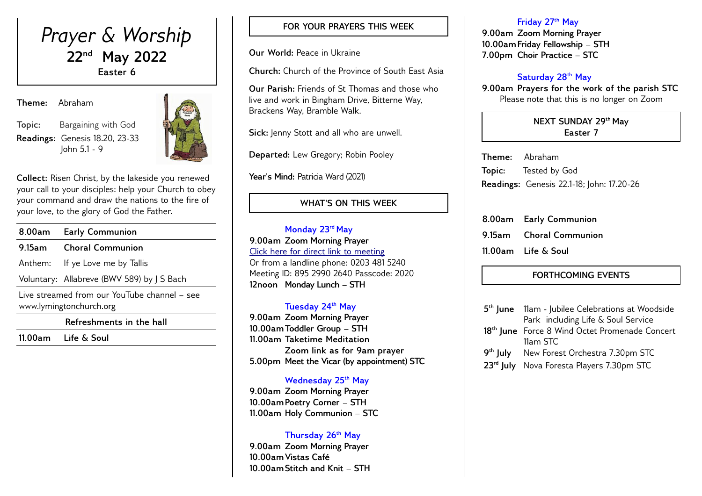

**Theme:** Abraham

**Topic:** Bargaining with God **Readings:** Genesis 18.20, 23-33 John 5.1 - 9



**Collect:** Risen Christ, by the lakeside you renewed your call to your disciples: help your Church to obey your command and draw the nations to the fire of your love, to the glory of God the Father.

| 8.00am                                                                  | <b>Early Communion</b>                     |  |
|-------------------------------------------------------------------------|--------------------------------------------|--|
| $9.15$ am                                                               | <b>Choral Communion</b>                    |  |
|                                                                         | Anthem: If ye Love me by Tallis            |  |
|                                                                         | Voluntary: Allabreve (BWV 589) by J S Bach |  |
| Live streamed from our YouTube channel – see<br>www.lymingtonchurch.org |                                            |  |
| Refreshments in the hall                                                |                                            |  |

**11.00am Life & Soul** 

# **FOR YOUR PRAYERS THIS WEEK**

**Our World:** Peace in Ukraine

**Church:** Church of the Province of South East Asia

**Our Parish:** Friends of St Thomas and those who live and work in Bingham Drive, Bitterne Way, Brackens Way, Bramble Walk.

**Sick:** Jenny Stott and all who are unwell.

**Departed:** Lew Gregory; Robin Pooley

Year's Mind: Patricia Ward (2021)

# **WHAT'S ON THIS WEEK**

**Monday 23rd May 9.00am Zoom Morning Prayer** [Click here for direct link to meeting](https://us02web.zoom.us/j/89529902640?pwd=QVQxTGxjODdwV3ROT1gxM2NWUjN0dz09) Or from a landline phone: 0203 481 5240 Meeting ID: 895 2990 2640 Passcode: 2020 **12noon Monday Lunch – STH** 

## **Tuesday 24th May**

**9.00am Zoom Morning Prayer 10.00amToddler Group – STH 11.00am Taketime Meditation Zoom link as for 9am prayer 5.00pm Meet the Vicar (by appointment) STC**

## **Wednesday 25th May**

**9.00am Zoom Morning Prayer 10.00amPoetry Corner – STH 11.00am Holy Communion – STC** 

## **Thursday 26th May**

**9.00am Zoom Morning Prayer 10.00amVistas Café 10.00amStitch and Knit – STH** 

#### **Friday 27th May**

**9.00am Zoom Morning Prayer 10.00amFriday Fellowship – STH 7.00pm Choir Practice – STC** 

## **Saturday 28th May**

**9.00am Prayers for the work of the parish STC** Please note that this is no longer on Zoom

## **NEXT SUNDAY 29th May Easter 7**

**Theme:** Abraham **Topic:** Tested by God **Readings:** Genesis 22.1-18; John: 17.20-26

| 8.00am Early Communion  |
|-------------------------|
| 9.15am Choral Communion |
| 11.00am Life & Soul     |

# **FORTHCOMING EVENTS**

| 5 <sup>th</sup> June 11am - Jubilee Celebrations at Woodside |
|--------------------------------------------------------------|
| Park including Life & Soul Service                           |
| 18 <sup>th</sup> June Force 8 Wind Octet Promenade Concert   |
| 11am STC                                                     |
| 9 <sup>th</sup> July New Forest Orchestra 7.30pm STC         |
| 23 <sup>rd</sup> July Nova Foresta Players 7.30pm STC        |